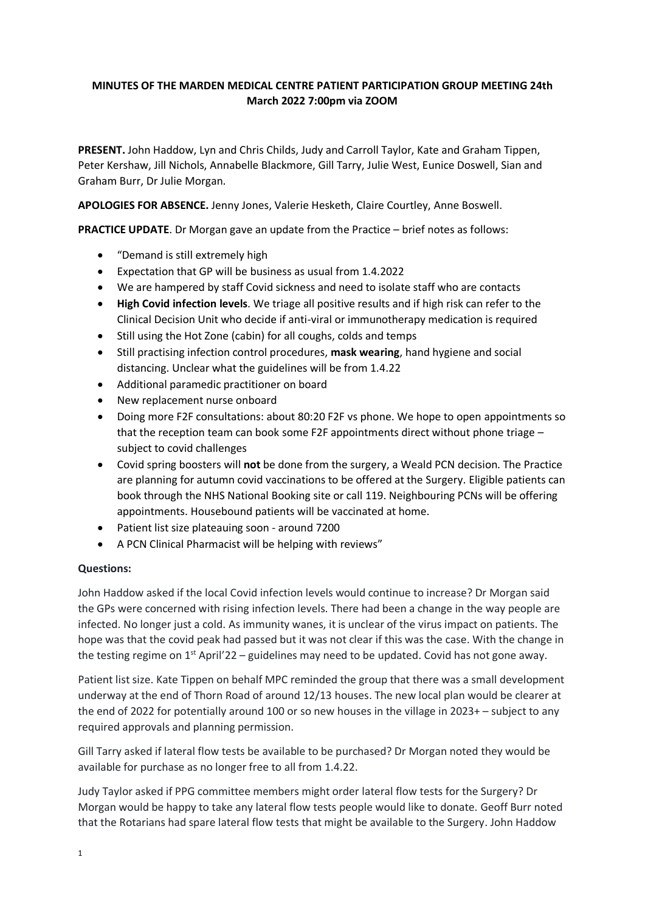## **MINUTES OF THE MARDEN MEDICAL CENTRE PATIENT PARTICIPATION GROUP MEETING 24th March 2022 7:00pm via ZOOM**

**PRESENT.** John Haddow, Lyn and Chris Childs, Judy and Carroll Taylor, Kate and Graham Tippen, Peter Kershaw, Jill Nichols, Annabelle Blackmore, Gill Tarry, Julie West, Eunice Doswell, Sian and Graham Burr, Dr Julie Morgan.

**APOLOGIES FOR ABSENCE.** Jenny Jones, Valerie Hesketh, Claire Courtley, Anne Boswell.

**PRACTICE UPDATE**. Dr Morgan gave an update from the Practice – brief notes as follows:

- "Demand is still extremely high
- Expectation that GP will be business as usual from 1.4.2022
- We are hampered by staff Covid sickness and need to isolate staff who are contacts
- **High Covid infection levels**. We triage all positive results and if high risk can refer to the Clinical Decision Unit who decide if anti-viral or immunotherapy medication is required
- Still using the Hot Zone (cabin) for all coughs, colds and temps
- Still practising infection control procedures, **mask wearing**, hand hygiene and social distancing. Unclear what the guidelines will be from 1.4.22
- Additional paramedic practitioner on board
- New replacement nurse onboard
- Doing more F2F consultations: about 80:20 F2F vs phone. We hope to open appointments so that the reception team can book some F2F appointments direct without phone triage – subject to covid challenges
- Covid spring boosters will **not** be done from the surgery, a Weald PCN decision. The Practice are planning for autumn covid vaccinations to be offered at the Surgery. Eligible patients can book through the NHS National Booking site or call 119. Neighbouring PCNs will be offering appointments. Housebound patients will be vaccinated at home.
- Patient list size plateauing soon around 7200
- A PCN Clinical Pharmacist will be helping with reviews"

### **Questions:**

John Haddow asked if the local Covid infection levels would continue to increase? Dr Morgan said the GPs were concerned with rising infection levels. There had been a change in the way people are infected. No longer just a cold. As immunity wanes, it is unclear of the virus impact on patients. The hope was that the covid peak had passed but it was not clear if this was the case. With the change in the testing regime on  $1<sup>st</sup>$  April'22 – guidelines may need to be updated. Covid has not gone away.

Patient list size. Kate Tippen on behalf MPC reminded the group that there was a small development underway at the end of Thorn Road of around 12/13 houses. The new local plan would be clearer at the end of 2022 for potentially around 100 or so new houses in the village in 2023+ – subject to any required approvals and planning permission.

Gill Tarry asked if lateral flow tests be available to be purchased? Dr Morgan noted they would be available for purchase as no longer free to all from 1.4.22.

Judy Taylor asked if PPG committee members might order lateral flow tests for the Surgery? Dr Morgan would be happy to take any lateral flow tests people would like to donate. Geoff Burr noted that the Rotarians had spare lateral flow tests that might be available to the Surgery. John Haddow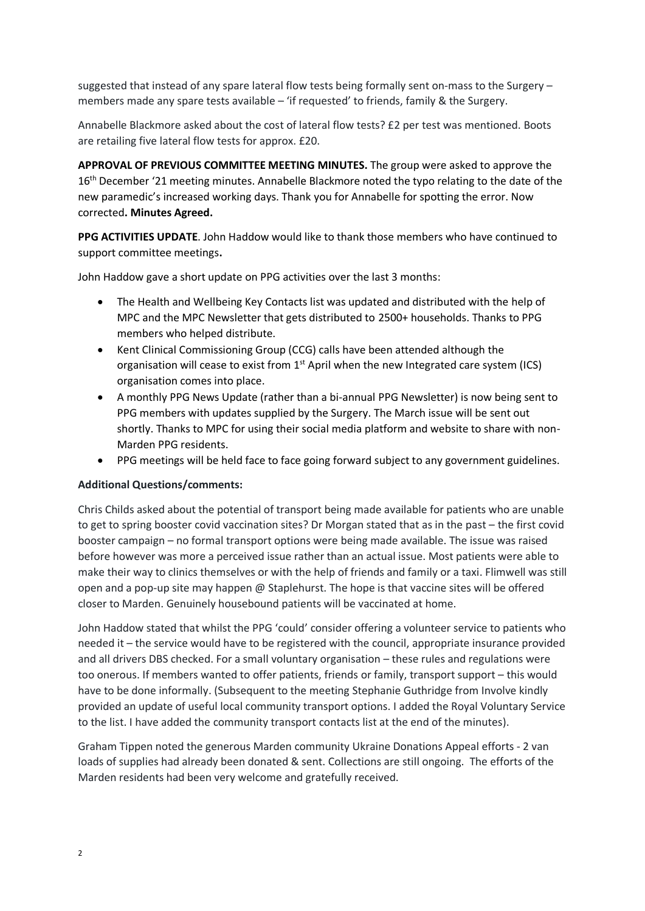suggested that instead of any spare lateral flow tests being formally sent on-mass to the Surgery – members made any spare tests available – 'if requested' to friends, family & the Surgery.

Annabelle Blackmore asked about the cost of lateral flow tests? £2 per test was mentioned. Boots are retailing five lateral flow tests for approx. £20.

**APPROVAL OF PREVIOUS COMMITTEE MEETING MINUTES.** The group were asked to approve the 16<sup>th</sup> December '21 meeting minutes. Annabelle Blackmore noted the typo relating to the date of the new paramedic's increased working days. Thank you for Annabelle for spotting the error. Now corrected**. Minutes Agreed.**

**PPG ACTIVITIES UPDATE**. John Haddow would like to thank those members who have continued to support committee meetings**.** 

John Haddow gave a short update on PPG activities over the last 3 months:

- The Health and Wellbeing Key Contacts list was updated and distributed with the help of MPC and the MPC Newsletter that gets distributed to 2500+ households. Thanks to PPG members who helped distribute.
- Kent Clinical Commissioning Group (CCG) calls have been attended although the organisation will cease to exist from  $1<sup>st</sup>$  April when the new Integrated care system (ICS) organisation comes into place.
- A monthly PPG News Update (rather than a bi-annual PPG Newsletter) is now being sent to PPG members with updates supplied by the Surgery. The March issue will be sent out shortly. Thanks to MPC for using their social media platform and website to share with non-Marden PPG residents.
- PPG meetings will be held face to face going forward subject to any government guidelines.

### **Additional Questions/comments:**

Chris Childs asked about the potential of transport being made available for patients who are unable to get to spring booster covid vaccination sites? Dr Morgan stated that as in the past – the first covid booster campaign – no formal transport options were being made available. The issue was raised before however was more a perceived issue rather than an actual issue. Most patients were able to make their way to clinics themselves or with the help of friends and family or a taxi. Flimwell was still open and a pop-up site may happen  $\omega$  Staplehurst. The hope is that vaccine sites will be offered closer to Marden. Genuinely housebound patients will be vaccinated at home.

John Haddow stated that whilst the PPG 'could' consider offering a volunteer service to patients who needed it – the service would have to be registered with the council, appropriate insurance provided and all drivers DBS checked. For a small voluntary organisation – these rules and regulations were too onerous. If members wanted to offer patients, friends or family, transport support – this would have to be done informally. (Subsequent to the meeting Stephanie Guthridge from Involve kindly provided an update of useful local community transport options. I added the Royal Voluntary Service to the list. I have added the community transport contacts list at the end of the minutes).

Graham Tippen noted the generous Marden community Ukraine Donations Appeal efforts - 2 van loads of supplies had already been donated & sent. Collections are still ongoing. The efforts of the Marden residents had been very welcome and gratefully received.